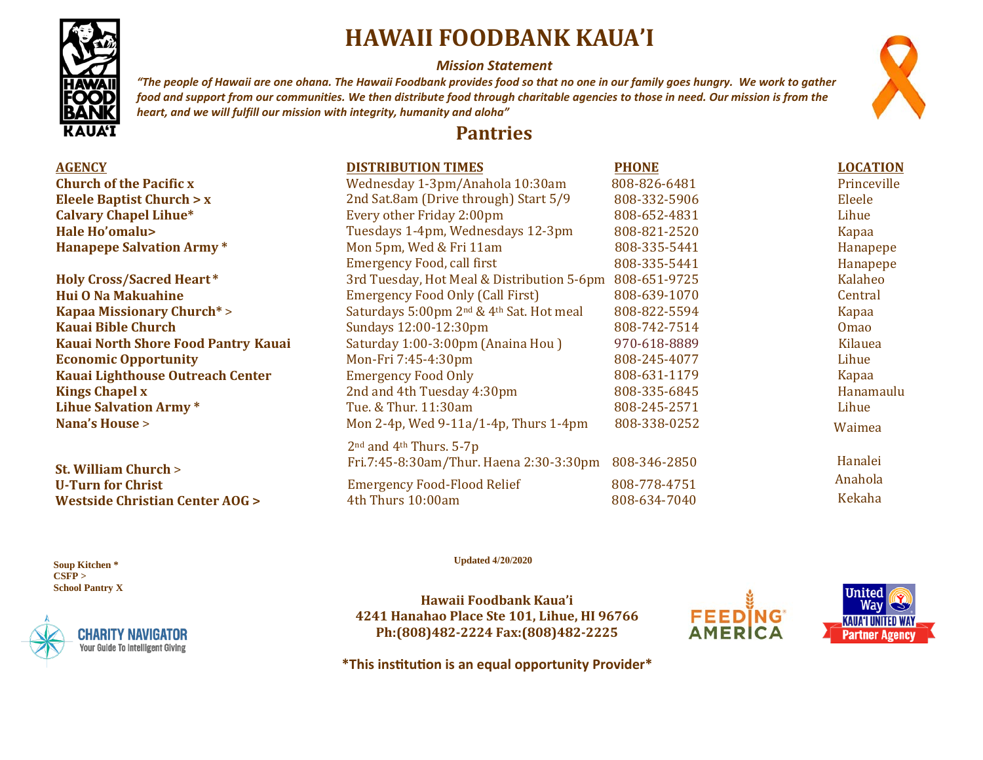# **HAWAII FOODBANK KAUA'I**

#### *Mission Statement*

*"The people of Hawaii are one ohana. The Hawaii Foodbank provides food so that no one in our family goes hungry. We work to gather food and support from our communities. We then distribute food through charitable agencies to those in need. Our mission is from the heart, and we will fulfill our mission with integrity, humanity and aloha"*

### **Pantries**

| <b>AGENCY</b>                           | <b>DISTRIBUTION TIMES</b>                                        | <b>PHONE</b> | <b>LOCATION</b> |
|-----------------------------------------|------------------------------------------------------------------|--------------|-----------------|
| <b>Church of the Pacific x</b>          | Wednesday 1-3pm/Anahola 10:30am                                  | 808-826-6481 | Princeville     |
| <b>Eleele Baptist Church &gt; x</b>     | 2nd Sat.8am (Drive through) Start 5/9                            | 808-332-5906 | Eleele          |
| <b>Calvary Chapel Lihue*</b>            | Every other Friday 2:00pm                                        | 808-652-4831 | Lihue           |
| Hale Ho'omalu>                          | Tuesdays 1-4pm, Wednesdays 12-3pm                                | 808-821-2520 | Kapaa           |
| <b>Hanapepe Salvation Army *</b>        | Mon 5pm, Wed & Fri 11am                                          | 808-335-5441 | Hanapepe        |
|                                         | <b>Emergency Food, call first</b>                                | 808-335-5441 | Hanapepe        |
| <b>Holy Cross/Sacred Heart*</b>         | 3rd Tuesday, Hot Meal & Distribution 5-6pm                       | 808-651-9725 | Kalaheo         |
| Hui O Na Makuahine                      | <b>Emergency Food Only (Call First)</b>                          | 808-639-1070 | Central         |
| <b>Kapaa Missionary Church*&gt;</b>     | Saturdays 5:00pm 2 <sup>nd</sup> & 4 <sup>th</sup> Sat. Hot meal | 808-822-5594 | Kapaa           |
| <b>Kauai Bible Church</b>               | Sundays 12:00-12:30pm                                            | 808-742-7514 | <b>Omao</b>     |
| Kauai North Shore Food Pantry Kauai     | Saturday 1:00-3:00pm (Anaina Hou)                                | 970-618-8889 | Kilauea         |
| <b>Economic Opportunity</b>             | Mon-Fri 7:45-4:30pm                                              | 808-245-4077 | Lihue           |
| <b>Kauai Lighthouse Outreach Center</b> | <b>Emergency Food Only</b>                                       | 808-631-1179 | Kapaa           |
| <b>Kings Chapel x</b>                   | 2nd and 4th Tuesday 4:30pm                                       | 808-335-6845 | Hanamaulu       |
| <b>Lihue Salvation Army*</b>            | Tue. & Thur. 11:30am                                             | 808-245-2571 | Lihue           |
| <b>Nana's House &gt;</b>                | Mon 2-4p, Wed 9-11a/1-4p, Thurs 1-4pm                            | 808-338-0252 | Waimea          |
|                                         | $2nd$ and $4th$ Thurs. 5-7p                                      |              |                 |
| <b>St. William Church &gt;</b>          | Fri.7:45-8:30am/Thur. Haena 2:30-3:30pm                          | 808-346-2850 | Hanalei         |
| <b>U-Turn for Christ</b>                | <b>Emergency Food-Flood Relief</b>                               | 808-778-4751 | Anahola         |
| Westside Christian Center AOG >         | 4th Thurs 10:00am                                                | 808-634-7040 | Kekaha          |

 **Soup Kitchen \* CSFP > School Pantry X** 

**CHARITY NAVIGATOI Your Guide To Intelligent Giving**  **Updated 4/20/2020** 

**Hawaii Foodbank Kaua'i 4241 Hanahao Place Ste 101, Lihue, HI 96766 Ph:(808)482-2224 Fax:(808)482-2225**





**\*This ins�tu�on is an equal opportunity Provider\***